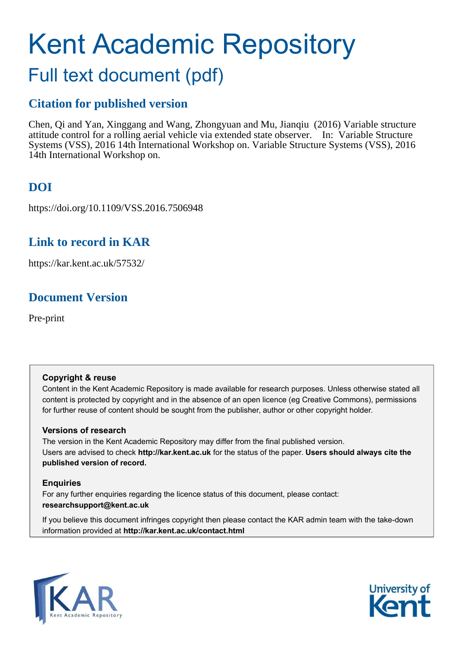# Kent Academic Repository Full text document (pdf)

## **Citation for published version**

Chen, Qi and Yan, Xinggang and Wang, Zhongyuan and Mu, Jianqiu (2016) Variable structure attitude control for a rolling aerial vehicle via extended state observer. In: Variable Structure Systems (VSS), 2016 14th International Workshop on. Variable Structure Systems (VSS), 2016 14th International Workshop on.

# **DOI**

https://doi.org/10.1109/VSS.2016.7506948

## **Link to record in KAR**

https://kar.kent.ac.uk/57532/

## **Document Version**

Pre-print

### **Copyright & reuse**

Content in the Kent Academic Repository is made available for research purposes. Unless otherwise stated all content is protected by copyright and in the absence of an open licence (eg Creative Commons), permissions for further reuse of content should be sought from the publisher, author or other copyright holder.

### **Versions of research**

The version in the Kent Academic Repository may differ from the final published version. Users are advised to check **http://kar.kent.ac.uk** for the status of the paper. **Users should always cite the published version of record.**

### **Enquiries**

For any further enquiries regarding the licence status of this document, please contact: **researchsupport@kent.ac.uk**

If you believe this document infringes copyright then please contact the KAR admin team with the take-down information provided at **http://kar.kent.ac.uk/contact.html**



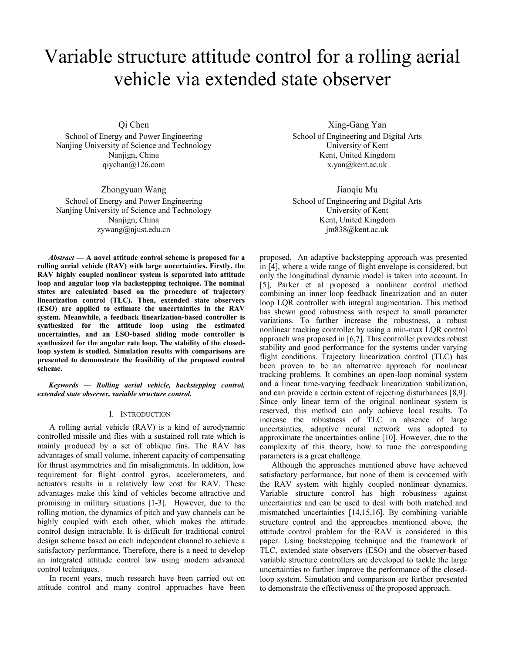# Variable structure attitude control for a rolling aerial vehicle via extended state observer

Qi Chen

School of Energy and Power Engineering Nanjing University of Science and Technology Nanjign, China qiychan@126.com

Zhongyuan Wang

School of Energy and Power Engineering Nanjing University of Science and Technology Nanjign, China zywang@njust.edu.cn

*Abstract* — A novel attitude control scheme is proposed for a **rolling aerial vehicle (RAV) with large uncertainties. Firstly, the RAV highly coupled nonlinear system is separated into attitude loop and angular loop via backstepping technique. The nominal states are calculated based on the procedure of trajectory linearization control (TLC). Then, extended state observers (ESO) are applied to estimate the uncertainties in the RAV system. Meanwhile, a feedback linearization-based controller is synthesized for the attitude loop using the estimated uncertainties, and an ESO-based sliding mode controller is synthesized for the angular rate loop. The stability of the closedloop system is studied. Simulation results with comparisons are presented to demonstrate the feasibility of the proposed control scheme.**

 $Keywords - Rolling$  aerial vehicle, backstepping control, *extended state observer, variable structure control.* 

#### I. INTRODUCTION

A rolling aerial vehicle (RAV) is a kind of aerodynamic controlled missile and flies with a sustained roll rate which is mainly produced by a set of oblique fins. The RAV has advantages of small volume, inherent capacity of compensating for thrust asymmetries and fin misalignments. In addition, low requirement for flight control gyros, accelerometers, and actuators results in a relatively low cost for RAV. These advantages make this kind of vehicles become attractive and promising in military situations [1-3]. However, due to the rolling motion, the dynamics of pitch and yaw channels can be highly coupled with each other, which makes the attitude control design intractable. It is difficult for traditional control design scheme based on each independent channel to achieve a satisfactory performance. Therefore, there is a need to develop an integrated attitude control law using modern advanced control techniques.

In recent years, much research have been carried out on attitude control and many control approaches have been

Xing-Gang Yan School of Engineering and Digital Arts University of Kent Kent, United Kingdom x.yan@kent.ac.uk

Jianqiu Mu

School of Engineering and Digital Arts University of Kent Kent, United Kingdom jm838@kent.ac.uk

proposed. An adaptive backstepping approach was presented in [4], where a wide range of flight envelope is considered, but only the longitudinal dynamic model is taken into account. In [5], Parker et al proposed a nonlinear control method combining an inner loop feedback linearization and an outer loop LQR controller with integral augmentation. This method has shown good robustness with respect to small parameter variations. To further increase the robustness, a robust nonlinear tracking controller by using a min-max LQR control approach was proposed in [6,7]. This controller provides robust stability and good performance for the systems under varying flight conditions. Trajectory linearization control (TLC) has been proven to be an alternative approach for nonlinear tracking problems. It combines an open-loop nominal system and a linear time-varying feedback linearization stabilization, and can provide a certain extent of rejecting disturbances [8,9]. Since only linear term of the original nonlinear system is reserved, this method can only achieve local results. To increase the robustness of TLC in absence of large uncertainties, adaptive neural network was adopted to approximate the uncertainties online [10]. However, due to the complexity of this theory, how to tune the corresponding parameters is a great challenge.

Although the approaches mentioned above have achieved satisfactory performance, but none of them is concerned with the RAV system with highly coupled nonlinear dynamics. Variable structure control has high robustness against uncertainties and can be used to deal with both matched and mismatched uncertainties [14,15,16]. By combining variable structure control and the approaches mentioned above, the attitude control problem for the RAV is considered in this paper. Using backstepping technique and the framework of TLC, extended state observers (ESO) and the observer-based variable structure controllers are developed to tackle the large uncertainties to further improve the performance of the closedloop system. Simulation and comparison are further presented to demonstrate the effectiveness of the proposed approach.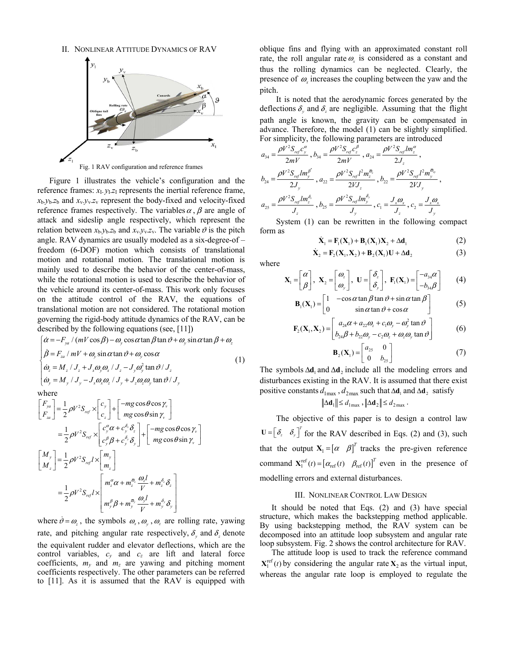II. NONLINEAR ATTITUDE DYNAMICS OF RAV



Fig. 1 RAV configuration and reference frames

Figure 1 illustrates the vehicle's configuration and the reference frames:  $x_1$ ,  $y_1$ , $z_1$  represents the inertial reference frame,  $x_b$ - $y_b$ - $z_b$  and  $x_v$ - $y_v$ - $z_v$  represent the body-fixed and velocity-fixed reference frames respectively. The variables  $\alpha$ ,  $\beta$  are angle of attack and sideslip angle respectively, which represent the relation between  $x_b$ - $y_b$ - $z_b$  and  $x_v$ - $y_v$ - $z_v$ . The variable  $\vartheta$  is the pitch angle. RAV dynamics are usually modeled as a six-degree-of  $$ freedom (6-DOF) motion which consists of translational motion and rotational motion. The translational motion is mainly used to describe the behavior of the center-of-mass, while the rotational motion is used to describe the behavior of the vehicle around its center-of-mass. This work only focuses on the attitude control of the RAV, the equations of translational motion are not considered. The rotational motion governing the rigid-body attitude dynamics of the RAV, can be described by the following equations (see, [11])

$$
\begin{cases}\n\dot{\alpha} = -F_{ya} / (mV \cos \beta) - \omega_y \cos \alpha \tan \beta \tan \vartheta + \omega_y \sin \alpha \tan \beta + \omega_z \\
\dot{\beta} = F_{za} / mV + \omega_y \sin \alpha \tan \vartheta + \omega_y \cos \alpha \\
\dot{\omega}_z = M_z / J_z + J_x \omega_y \omega_x / J_z - J_y \omega_y^2 \tan \vartheta / J_z \\
\dot{\omega}_y = M_y / J_y - J_x \omega_x \omega_z / J_y + J_z \omega_z \omega_y \tan \vartheta / J_y\n\end{cases}
$$
\n(1)  
\nwhere

$$
\begin{aligned}\n\begin{bmatrix}\nF_{ya} \\
F_{za}\n\end{bmatrix} &= \frac{1}{2} \rho V^2 S_{ref} \times \begin{bmatrix} c_y \\
c_z\n\end{bmatrix} + \begin{bmatrix} -mg \cos \theta \cos \gamma_v \\
mg \cos \theta \sin \gamma_v\n\end{bmatrix} \\
&= \frac{1}{2} \rho V^2 S_{ref} \times \begin{bmatrix} c_y^{\alpha} \alpha + c_y^{\delta_z} \delta_z \\
c_y^{\beta} \beta + c_y^{\delta_y} \delta_y\n\end{bmatrix} + \begin{bmatrix} -mg \cos \theta \cos \gamma_v \\
mg \cos \theta \sin \gamma_v\n\end{bmatrix} \\
\begin{bmatrix}\nM_y \\
M_z\n\end{bmatrix} &= \frac{1}{2} \rho V^2 S_{ref} I \times \begin{bmatrix} m_y \\
m_z\n\end{bmatrix} \\
&= \frac{1}{2} \rho V^2 S_{ref} I \times \begin{bmatrix} m_y^{\alpha} \\
m_z^{\alpha} \alpha + m_z^{\delta_z} \frac{\omega_z I}{V} + m_z^{\delta_z} \delta_z \\
m_y^{\beta} \beta + m_y^{\delta_y} \frac{\omega_y I}{V} + m_y^{\delta_y} \delta_y\n\end{bmatrix}\n\end{aligned}
$$

where  $\dot{\theta} = \omega_z$ , the symbols  $\omega_x$ ,  $\omega_y$ ,  $\omega_z$  are rolling rate, yawing rate, and pitching angular rate respectively,  $\delta_{y}$  and  $\delta_{z}$  denote the equivalent rudder and elevator deflections, which are the control variables, *cy* and *cz* are lift and lateral force coefficients,  $m_v$  and  $m_z$  are yawing and pitching moment coefficients respectively. The other parameters can be referred to [11]. As it is assumed that the RAV is equipped with

oblique fins and flying with an approximated constant roll rate, the roll angular rate  $\omega$ <sub>x</sub> is considered as a constant and thus the rolling dynamics can be neglected. Clearly, the presence of  $\omega$ <sub>x</sub> increases the coupling between the yaw and the pitch.

It is noted that the aerodynamic forces generated by the deflections  $\delta$ , and  $\delta$ , are negligible. Assuming that the flight path angle is known, the gravity can be compensated in advance. Therefore, the model (1) can be slightly simplified. For simplicity, the following parameters are introduced

$$
a_{34} = \frac{\rho V^2 S_{ref} c_y^{\alpha}}{2mV}, b_{34} = \frac{\rho V^2 S_{ref} c_z^{\beta}}{2mV}, a_{24} = \frac{\rho V^2 S_{ref} Im_z^{\alpha}}{2J_z},
$$
  
\n
$$
b_{24} = \frac{\rho V^2 S_{ref} Im_y^{\beta}}{2J_y}, a_{22} = \frac{\rho V^2 S_{ref} l^2 m_z^{\overline{\omega}_z}}{2VJ_z}, b_{22} = \frac{\rho V^2 S_{ref} l^2 m_y^{\overline{\omega}_y}}{2VJ_y},
$$
  
\n
$$
a_{25} = \frac{\rho V^2 S_{ref} Im_z^{\delta_z}}{J_z}, b_{25} = \frac{\rho V^2 S_{ref} Im_y^{\delta_y}}{J_y}, c_1 = \frac{J_x \omega_x}{J_z}, c_2 = \frac{J_x \omega_x}{J_y}
$$

System (1) can be rewritten in the following compact form as

$$
\dot{\mathbf{X}}_1 = \mathbf{F}_1(\mathbf{X}_1) + \mathbf{B}_1(\mathbf{X}_1)\mathbf{X}_2 + \Delta \mathbf{d}_1
$$
\n(2)

$$
\dot{\mathbf{X}}_2 = \mathbf{F}_2(\mathbf{X}_1, \mathbf{X}_2) + \mathbf{B}_2(\mathbf{X}_1)\mathbf{U} + \Delta \mathbf{d}_2
$$
\n(3)

where

$$
\mathbf{X}_{1} = \begin{bmatrix} \alpha \\ \beta \end{bmatrix}, \ \mathbf{X}_{2} = \begin{bmatrix} \omega_{z} \\ \omega_{y} \end{bmatrix}, \ \mathbf{U} = \begin{bmatrix} \delta_{z} \\ \delta_{y} \end{bmatrix}, \ \mathbf{F}_{1}(\mathbf{X}_{1}) = \begin{bmatrix} -a_{34}\alpha \\ -b_{34}\beta \end{bmatrix}
$$
 (4)

$$
\mathbf{B}_{1}(\mathbf{X}_{1}) = \begin{bmatrix} 1 & -\cos\alpha\tan\beta\tan\vartheta + \sin\alpha\tan\beta \\ 0 & \sin\alpha\tan\vartheta + \cos\alpha \end{bmatrix}
$$
(5)

$$
\mathbf{F}_2(\mathbf{X}_1, \mathbf{X}_2) = \begin{bmatrix} a_{24}\alpha + a_{22}\omega_z + c_1\omega_y - \omega_y^2 \tan \vartheta \\ b_{24}\beta + b_{22}\omega_y - c_2\omega_z + \omega_z\omega_y \tan \vartheta \end{bmatrix}
$$
 (6)

$$
\mathbf{B}_2(\mathbf{X}_1) = \begin{bmatrix} a_{25} & 0 \\ 0 & b_{25} \end{bmatrix}
$$
 (7)

The symbols  $\Delta \mathbf{d}_1$  and  $\Delta \mathbf{d}_2$  include all the modeling errors and disturbances existing in the RAV. It is assumed that there exist positive constants  $d_{\text{1max}}$ ,  $d_{\text{2max}}$  such that  $\Delta \mathbf{d}_1$  and  $\Delta \mathbf{d}_2$  satisfy

$$
\|\Delta \mathbf{d}_1\| \le d_{1\max} , \|\Delta \mathbf{d}_2\| \le d_{2\max} .
$$

The objective of this paper is to design a control law  $U = \begin{bmatrix} \delta_z & \delta_y \end{bmatrix}^T$  for the RAV described in Eqs. (2) and (3), such that the output  $X_1 = [\alpha \ \beta]^T$  tracks the pre-given reference command  $X_1^{\text{ref}}(t) = [\alpha_{\text{ref}}(t) \ \beta_{\text{ref}}(t)]^T$  even in the presence of modelling errors and external disturbances.

#### III. NONLINEAR CONTROL LAW DESIGN

It should be noted that Eqs. (2) and (3) have special structure, which makes the backstepping method applicable. By using backstepping method, the RAV system can be decomposed into an attitude loop subsystem and angular rate loop subsystem. Fig. 2 shows the control architecture for RAV.

The attitude loop is used to track the reference command  $X_1^{\text{ref}}(t)$  by considering the angular rate  $X_2$  as the virtual input, whereas the angular rate loop is employed to regulate the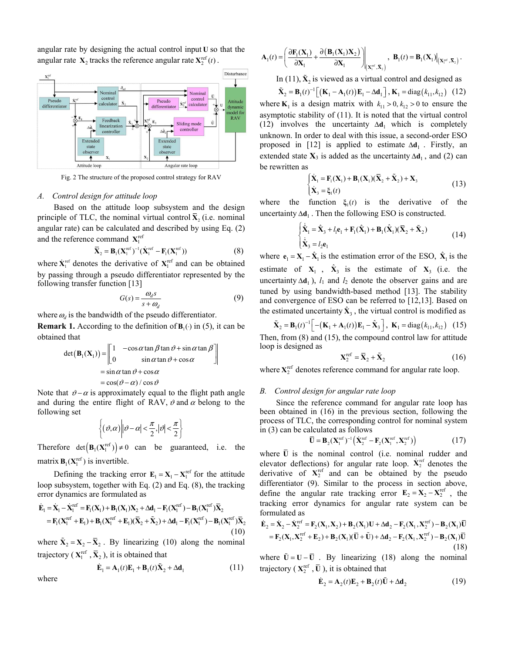angular rate by designing the actual control input **U** so that the angular rate  $X_2$  tracks the reference angular rate  $X_2^{\text{ref}}(t)$ .



Fig. 2 The structure of the proposed control strategy for RAV

#### *A. Control design for attitude loop*

Based on the attitude loop subsystem and the design principle of TLC, the nominal virtual control  $\bar{X}_2$  (i.e. nominal angular rate) can be calculated and described by using Eq. (2) and the reference command  $X_1^{\text{ref}}$ 

$$
\overline{\mathbf{X}}_2 = \mathbf{B}_1 (\mathbf{X}_1^{\text{ref}})^{-1} (\dot{\mathbf{X}}_1^{\text{ref}} - \mathbf{F}_1 (\mathbf{X}_1^{\text{ref}}))
$$
(8)

where  $\dot{\mathbf{X}}_1^{\text{ref}}$  denotes the derivative of  $\mathbf{X}_1^{\text{ref}}$  and can be obtained by passing through a pseudo differentiator represented by the following transfer function [13]

$$
G(s) = \frac{\omega_d s}{s + \omega_d} \tag{9}
$$

where  $\omega_d$  is the bandwidth of the pseudo differentiator.

**Remark 1.** According to the definition of  $\mathbf{B}_{1}$  ( $\cdot$ ) in (5), it can be obtained that

$$
\det(\mathbf{B}_1(\mathbf{X}_1)) = \begin{bmatrix} 1 & -\cos\alpha \tan\beta \tan\vartheta + \sin\alpha \tan\beta \\ 0 & \sin\alpha \tan\vartheta + \cos\alpha \end{bmatrix}
$$

$$
= \sin\alpha \tan\vartheta + \cos\alpha
$$

$$
= \cos(\vartheta - \alpha) / \cos\vartheta
$$

Note that  $\vartheta - \alpha$  is approximately equal to the flight path angle and during the entire flight of RAV,  $\vartheta$  and  $\alpha$  belong to the following set

$$
\left\{(\vartheta,\alpha)\middle|\vartheta-\alpha\right|<\frac{\pi}{2},|\vartheta|<\frac{\pi}{2}\right\}
$$

Therefore  $det(\mathbf{B}_{1}(\mathbf{X}_{1}^{\text{ref}})) \neq 0$  can be guaranteed, i.e. the matrix  $\mathbf{B}_1(\mathbf{X}_1^{\text{ref}})$  is invertible.

Defining the tracking error  $\mathbf{E}_1 = \mathbf{X}_1 - \mathbf{X}_1^{\text{ref}}$  for the attitude loop subsystem, together with Eq. (2) and Eq. (8), the tracking error dynamics are formulated as

$$
\dot{\mathbf{E}}_1 = \dot{\mathbf{X}}_1 - \dot{\mathbf{X}}_1^{\text{ref}} = \mathbf{F}_1(\mathbf{X}_1) + \mathbf{B}_1(\mathbf{X}_1)\mathbf{X}_2 + \Delta \mathbf{d}_1 - \mathbf{F}_1(\mathbf{X}_1^{\text{ref}}) - \mathbf{B}_1(\mathbf{X}_1^{\text{ref}}) \overline{\mathbf{X}}_2 \n= \mathbf{F}_1(\mathbf{X}_1^{\text{ref}} + \mathbf{E}_1) + \mathbf{B}_1(\mathbf{X}_1^{\text{ref}} + \mathbf{E}_1)(\overline{\mathbf{X}}_2 + \widetilde{\mathbf{X}}_2) + \Delta \mathbf{d}_1 - \mathbf{F}_1(\mathbf{X}_1^{\text{ref}}) - \mathbf{B}_1(\mathbf{X}_1^{\text{ref}}) \overline{\mathbf{X}}_2
$$
\n(10)

where  $\tilde{\mathbf{X}}_2 = \mathbf{X}_2 - \bar{\mathbf{X}}_2$ . By linearizing (10) along the nominal trajectory ( $X_1^{\text{ref}}, \overline{X}_2$ ), it is obtained that

$$
\dot{\mathbf{E}}_1 = \mathbf{A}_1(t)\mathbf{E}_1 + \mathbf{B}_1(t)\tilde{\mathbf{X}}_2 + \Delta \mathbf{d}_1
$$
 (11)

where

$$
\mathbf{A}_1(t) = \left(\frac{\partial \mathbf{F}_1(\mathbf{X}_1)}{\partial \mathbf{X}_1} + \frac{\partial (\mathbf{B}_1(\mathbf{X}_1)\mathbf{X}_2)}{\partial \mathbf{X}_1}\right) \Big|_{\left(\mathbf{X}_1^{\text{ref}}, \overline{\mathbf{X}}_2\right)}, \ \ \mathbf{B}_1(t) = \mathbf{B}_1(\mathbf{X}_1) \Big|_{\left(\mathbf{X}_1^{\text{ref}}, \overline{\mathbf{X}}_2\right)}.
$$

In (11),  $\tilde{\mathbf{X}}_2$  is viewed as a virtual control and designed as

 $\tilde{\mathbf{X}}_2 = \mathbf{B}_1(t)^{-1} \Big[ \big( \mathbf{K}_1 - \mathbf{A}_1(t) \big) \mathbf{E}_1 - \Delta \mathbf{d}_1 \Big]$ ,  $\mathbf{K}_1 = \text{diag}(k_{11}, k_{12})$  (12) where  $\mathbf{K}_1$  is a design matrix with  $k_{11} > 0$ ,  $k_{12} > 0$  to ensure the asymptotic stability of (11). It is noted that the virtual control (12) involves the uncertainty  $\Delta \mathbf{d}_1$  which is completely unknown. In order to deal with this issue, a second-order ESO proposed in [12] is applied to estimate  $\Delta \mathbf{d}_1$ . Firstly, an extended state  $X_3$  is added as the uncertainty  $\Delta d_1$ , and (2) can be rewritten as

$$
\begin{cases} \dot{\mathbf{X}}_1 = \mathbf{F}_1(\mathbf{X}_1) + \mathbf{B}_1(\mathbf{X}_1)(\bar{\mathbf{X}}_2 + \tilde{\mathbf{X}}_2) + \mathbf{X}_3 \\ \dot{\mathbf{X}}_3 = \xi_1(t) \end{cases}
$$
\n(13)

where the function  $\xi_1(t)$  is the derivative of the uncertainty  $\Delta \mathbf{d}_1$ . Then the following ESO is constructed.

$$
\begin{cases} \dot{\hat{\mathbf{X}}}_1 = \hat{\mathbf{X}}_3 + l_1 \mathbf{e}_1 + \mathbf{F}_1(\hat{\mathbf{X}}_1) + \mathbf{B}_1(\hat{\mathbf{X}}_1)(\bar{\mathbf{X}}_2 + \tilde{\mathbf{X}}_2) \\ \dot{\mathbf{X}}_3 = l_2 \mathbf{e}_1 \end{cases}
$$
(14)

where  $\mathbf{e}_1 = \mathbf{X}_1 - \hat{\mathbf{X}}_1$  is the estimation error of the ESO,  $\hat{\mathbf{X}}_1$  is the estimate of  $X_1$ ,  $\hat{X}_3$  is the estimate of  $X_3$  (i.e. the uncertainty  $\Delta \mathbf{d}_1$ ,  $l_1$  and  $l_2$  denote the observer gains and are tuned by using bandwidth-based method [13]. The stability and convergence of ESO can be referred to [12,13]. Based on the estimated uncertainty  $\hat{\mathbf{X}}_3$ , the virtual control is modified as

$$
\tilde{\mathbf{X}}_2 = \mathbf{B}_1(t)^{-1} \Big[ -(\mathbf{K}_1 + \mathbf{A}_1(t)) \mathbf{E}_1 - \hat{\mathbf{X}}_3 \Big], \ \mathbf{K}_1 = \text{diag}(k_{11}, k_{12}) \quad (15)
$$

Then, from (8) and (15), the compound control law for attitude loop is designed as

$$
\mathbf{X}_2^{\text{ref}} = \overline{\mathbf{X}}_2 + \tilde{\mathbf{X}}_2 \tag{16}
$$

where  $X_2^{\text{ref}}$  denotes reference command for angular rate loop.

#### *B. Control design for angular rate loop*

Since the reference command for angular rate loop has been obtained in (16) in the previous section, following the process of TLC, the corresponding control for nominal system in (3) can be calculated as follows

$$
\overline{\mathbf{U}} = \mathbf{B}_2 (\mathbf{X}_1^{\text{ref}})^{-1} (\dot{\mathbf{X}}_2^{\text{ref}} - \mathbf{F}_2 (\mathbf{X}_1^{\text{ref}}, \mathbf{X}_2^{\text{ref}}))
$$
(17)

where  $\overline{U}$  is the nominal control (i.e. nominal rudder and elevator deflections) for angular rate loop.  $\dot{\mathbf{X}}_2^{\text{ref}}$  denotes the derivative of  $X_2^{\text{ref}}$  and can be obtained by the pseudo differentiator (9). Similar to the process in section above, define the angular rate tracking error  $\mathbf{E}_2 = \mathbf{X}_2 - \mathbf{X}_2^{\text{ref}}$ , the tracking error dynamics for angular rate system can be formulated as

$$
\dot{\mathbf{E}}_2 = \dot{\mathbf{X}}_2 - \dot{\mathbf{X}}_2^{\text{ref}} = \mathbf{F}_2(\mathbf{X}_1, \mathbf{X}_2) + \mathbf{B}_2(\mathbf{X}_1)\mathbf{U} + \Delta \mathbf{d}_2 - \mathbf{F}_2(\mathbf{X}_1, \mathbf{X}_2^{\text{ref}}) - \mathbf{B}_2(\mathbf{X}_1)\overline{\mathbf{U}}
$$
\n
$$
= \mathbf{F}_2(\mathbf{X}_1, \mathbf{X}_2^{\text{ref}} + \mathbf{E}_2) + \mathbf{B}_2(\mathbf{X}_1)(\overline{\mathbf{U}} + \widetilde{\mathbf{U}}) + \Delta \mathbf{d}_2 - \mathbf{F}_2(\mathbf{X}_1, \mathbf{X}_2^{\text{ref}}) - \mathbf{B}_2(\mathbf{X}_1)\overline{\mathbf{U}}
$$
\n(18)

where  $\tilde{U} = U - \overline{U}$ . By linearizing (18) along the nominal trajectory ( $X_2^{\text{ref}}$ ,  $\overline{U}$ ), it is obtained that

$$
\dot{\mathbf{E}}_2 = \mathbf{A}_2(t)\mathbf{E}_2 + \mathbf{B}_2(t)\tilde{\mathbf{U}} + \Delta \mathbf{d}_2
$$
 (19)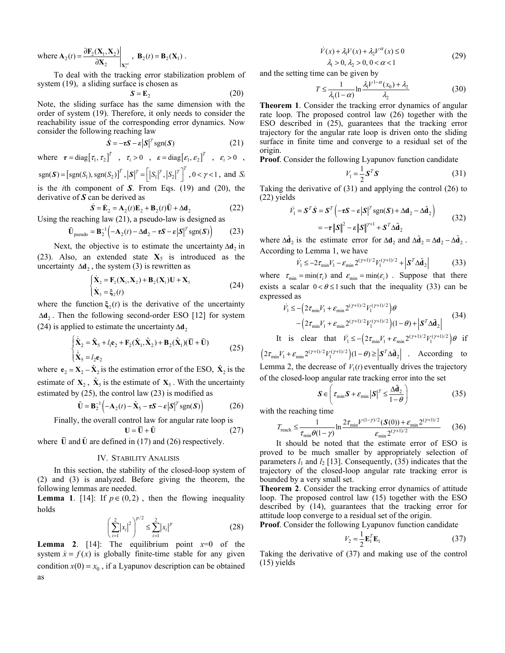where  $\mathbf{A}_2(t) = \frac{\partial \mathbf{F}_2(\mathbf{A}_1, \mathbf{A}_2)}{\partial \mathbf{X}_2}\bigg|_{\mathbf{Y}^{\text{ref}}}$  $2(n_1,\Lambda_2)$  $\frac{\partial \mathbf{F}_2(\mathbf{X}_1, \mathbf{X}_2)}{\partial \mathbf{X}_2}$  $\mathbf{F}_2(\mathbf{X}_1,\mathbf{X})$  $\mathbf{A}_2(t) = \frac{\partial \mathbf{F}_2(\mathbf{X}_1, \mathbf{X}_2)}{\partial \mathbf{X}_2}$ ,  $\mathbf{B}_2(t) = \mathbf{B}_2(\mathbf{X}_1)$ .

To deal with the tracking error stabilization problem of system (19), a sliding surface is chosen as

$$
S = E_2 \tag{20}
$$

Note, the sliding surface has the same dimension with the order of system (19). Therefore, it only needs to consider the reachability issue of the corresponding error dynamics. Now consider the following reaching law

$$
\dot{\mathbf{S}} = -\tau \mathbf{S} - \varepsilon |\mathbf{S}|^{\gamma} \operatorname{sgn}(\mathbf{S}) \tag{21}
$$

where  $\tau = \text{diag} [\tau_1, \tau_2]^T$ ,  $\tau_i > 0$ ,  $\epsilon = \text{diag} [\epsilon_1, \epsilon_2]^T$ ,  $\epsilon_i > 0$ ,

 $\text{sgn}(\mathbf{S}) = [\text{sgn}(S_1), \text{sgn}(S_2)]^T, |\mathbf{S}|^{\gamma} = [|S_1|^{\gamma}, |S_2|^{\gamma}]^T, 0 < \gamma < 1, \text{ and } S_i$ is the *i*th component of *S*. From Eqs. (19) and (20), the

derivative of *S* can be derived as

$$
\dot{\mathbf{S}} = \dot{\mathbf{E}}_2 = \mathbf{A}_2(t)\mathbf{E}_2 + \mathbf{B}_2(t)\tilde{\mathbf{U}} + \Delta \mathbf{d}_2
$$
 (22)

Using the reaching law (21), a pseudo-law is designed as

$$
\tilde{\mathbf{U}}_{\text{pseudo}} = \mathbf{B}_2^{-1} \Big( -\mathbf{A}_2(t) - \Delta \mathbf{d}_2 - \tau \mathbf{S} - \varepsilon |\mathbf{S}|^\gamma \text{sgn}(\mathbf{S}) \Big) \tag{23}
$$

Next, the objective is to estimate the uncertainty  $\Delta d_2$  in (23). Also, an extended state  $X_5$  is introduced as the uncertainty  $\Delta \mathbf{d}_2$ , the system (3) is rewritten as

$$
\begin{cases} \dot{\mathbf{X}}_2 = \mathbf{F}_2(\mathbf{X}_1, \mathbf{X}_2) + \mathbf{B}_2(\mathbf{X}_1) \mathbf{U} + \mathbf{X}_5 \\ \dot{\mathbf{X}}_5 = \xi_2(t) \end{cases}
$$
\n(24)

where the function  $\xi_2(t)$  is the derivative of the uncertainty Δ**d**<sup>2</sup> . Then the following second-order ESO [12] for system (24) is applied to estimate the uncertainty  $\Delta d$ <sub>2</sub>

$$
\begin{cases}\n\dot{\hat{\mathbf{X}}}_2 = \hat{\mathbf{X}}_5 + l_1 \mathbf{e}_2 + \mathbf{F}_2 (\hat{\mathbf{X}}_1, \hat{\mathbf{X}}_2) + \mathbf{B}_2 (\hat{\mathbf{X}}_1) (\mathbf{\bar{U}} + \mathbf{\tilde{U}}) \\
\dot{\mathbf{X}}_5 = l_2 \mathbf{e}_2\n\end{cases}
$$
\n(25)

where  $\mathbf{e}_2 = \mathbf{X}_2 - \hat{\mathbf{X}}_2$  is the estimation error of the ESO,  $\hat{\mathbf{X}}_2$  is the estimate of  $X_2$ ,  $\hat{X}_5$  is the estimate of  $X_5$ . With the uncertainty estimated by (25), the control law (23) is modified as

$$
\tilde{\mathbf{U}} = \mathbf{B}_2^{-1} \left( -\mathbf{A}_2(t) - \hat{\mathbf{X}}_5 - \tau \mathbf{S} - \varepsilon |\mathbf{S}|^{\gamma} \operatorname{sgn}(\mathbf{S}) \right) \tag{26}
$$

Finally, the overall control law for angular rate loop is  
\n
$$
U = \overline{U} + \tilde{U}
$$
\n(27)

where  $\bar{U}$  and  $\tilde{U}$  are defined in (17) and (26) respectively.

#### IV. STABILITY ANALISIS

In this section, the stability of the closed-loop system of (2) and (3) is analyzed. Before giving the theorem, the following lemmas are needed.

**Lemma 1.** [14]: If  $p \in (0,2)$ , then the flowing inequality holds

$$
\left(\sum_{i=1}^{2}|x_{i}|^{2}\right)^{p/2} \le \sum_{i=1}^{2}|x_{i}|^{p}
$$
\n(28)

**Lemma 2**. [14]: The equilibrium point  $x=0$  of the system  $\dot{x} = f(x)$  is globally finite-time stable for any given condition  $x(0) = x_0$ , if a Lyapunov description can be obtained as

$$
\dot{V}(x) + \lambda_1 V(x) + \lambda_2 V^{\alpha}(x) \le 0
$$
\n
$$
\lambda_1 > 0, \lambda_2 > 0, 0 < \alpha < 1
$$
\n(29)

and the setting time can be given by

$$
T \le \frac{1}{\lambda_1 (1 - \alpha)} \ln \frac{\lambda_1 V^{1 - \alpha}(x_0) + \lambda_2}{\lambda_2} \tag{30}
$$

**Theorem 1**. Consider the tracking error dynamics of angular rate loop. The proposed control law (26) together with the ESO described in (25), guarantees that the tracking error trajectory for the angular rate loop is driven onto the sliding surface in finite time and converge to a residual set of the origin.

**Proof**. Consider the following Lyapunov function candidate

$$
V_1 = \frac{1}{2} \mathbf{S}^T \mathbf{S} \tag{31}
$$

Taking the derivative of (31) and applying the control (26) to (22) yields

$$
\dot{V}_1 = \mathbf{S}^T \dot{\mathbf{S}} = \mathbf{S}^T \left( -\tau \mathbf{S} - \varepsilon |\mathbf{S}|^{\gamma} \operatorname{sgn}(\mathbf{S}) + \Delta \mathbf{d}_2 - \Delta \hat{\mathbf{d}}_2 \right)
$$
  
= 
$$
-\tau ||\mathbf{S}||^2 - \varepsilon ||\mathbf{S}||^{\gamma+1} + \mathbf{S}^T \Delta \tilde{\mathbf{d}}_2
$$
 (32)

where  $\Delta \tilde{\mathbf{d}}_2$  is the estimate error for  $\Delta \mathbf{d}_2$  and  $\Delta \tilde{\mathbf{d}}_2 = \Delta \mathbf{d}_2 - \Delta \hat{\mathbf{d}}_2$ . According to Lemma 1, we have

$$
\dot{V}_1 \le -2\tau_{\min} V_1 - \varepsilon_{\min} 2^{(\gamma+1)/2} V_1^{(\gamma+1)/2} + \left| \mathbf{S}^T \Delta \tilde{\mathbf{d}}_2 \right| \tag{33}
$$

where  $\tau_{\min} = \min(\tau_i)$  and  $\varepsilon_{\min} = \min(\varepsilon_i)$ . Suppose that there exists a scalar  $0 < \theta \le 1$  such that the inequality (33) can be expressed as

$$
\dot{V}_1 \le -\left(2\tau_{\min}V_1 + \varepsilon_{\min} 2^{(\gamma+1)/2} V_1^{(\gamma+1)/2}\right)\theta -\left(2\tau_{\min}V_1 + \varepsilon_{\min} 2^{(\gamma+1)/2} V_1^{(\gamma+1)/2}\right)(1-\theta) + \left|\mathbf{S}^T \Delta \tilde{\mathbf{d}}_2\right|
$$
(34)

It is clear that  $\dot{V}_1 \le - \left( 2\tau_{\min} V_1 + \varepsilon_{\min} 2^{(\gamma+1)/2} V_1^{(\gamma+1)/2} \right) \theta$  if  $(2\tau_{\min}V_1 + \varepsilon_{\min}2^{(\gamma+1)/2}V_1^{(\gamma+1)/2})(1-\theta) \ge |\mathbf{S}^T\Delta\tilde{\mathbf{d}}_2|$  . According to

Lemma 2, the decrease of  $V_1(t)$  eventually drives the trajectory of the closed-loop angular rate tracking error into the set

$$
\mathbf{S} \in \left( \tau_{\min} \mathbf{S} + \varepsilon_{\min} |\mathbf{S}|^{\gamma} \le \frac{\Delta \tilde{\mathbf{d}}_2}{1 - \theta} \right) \tag{35}
$$

with the reaching time

$$
T_{\text{reach}} \le \frac{1}{\tau_{\min} \theta (1 - \gamma)} \ln \frac{2 \tau_{\min} V^{(1 - \gamma)/2} (\mathcal{S}(0)) + \varepsilon_{\min} 2^{(\gamma + 1)/2}}{\varepsilon_{\min} 2^{(\gamma + 1)/2}} \qquad (36)
$$

It should be noted that the estimate error of ESO is proved to be much smaller by appropriately selection of parameters  $l_1$  and  $l_2$  [13]. Consequently, (35) indicates that the trajectory of the closed-loop angular rate tracking error is bounded by a very small set.

**Theorem 2**. Consider the tracking error dynamics of attitude loop. The proposed control law (15) together with the ESO described by (14), guarantees that the tracking error for attitude loop converge to a residual set of the origin.

**Proof**. Consider the following Lyapunov function candidate

$$
V_2 = \frac{1}{2} \mathbf{E}_1^T \mathbf{E}_1
$$
 (37)

Taking the derivative of (37) and making use of the control (15) yields

$$
\qquad \text{as} \qquad
$$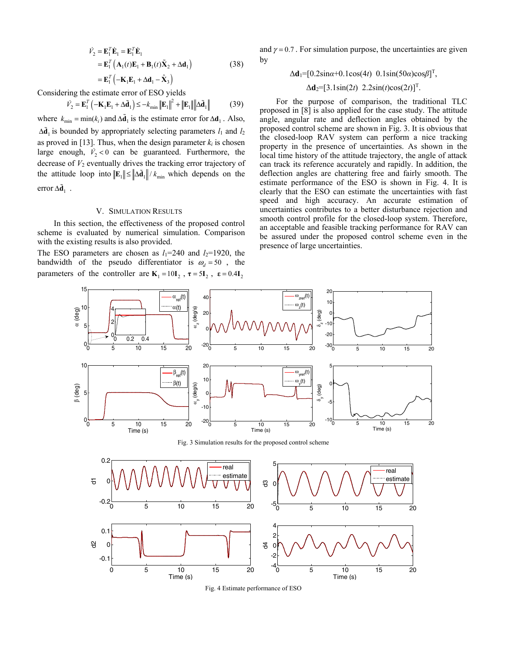$$
\dot{V}_2 = \mathbf{E}_1^T \dot{\mathbf{E}}_1 = \mathbf{E}_1^T \dot{\mathbf{E}}_1
$$
  
=  $\mathbf{E}_1^T (\mathbf{A}_1(t)\mathbf{E}_1 + \mathbf{B}_1(t)\tilde{\mathbf{X}}_2 + \Delta \mathbf{d}_1)$   
=  $\mathbf{E}_1^T (-\mathbf{K}_1 \mathbf{E}_1 + \Delta \mathbf{d}_1 - \hat{\mathbf{X}}_3)$  (38)

Considering the estimate error of ESO yields

$$
\dot{V}_2 = \mathbf{E}_1^T \left( -\mathbf{K}_1 \mathbf{E}_1 + \Delta \tilde{\mathbf{d}}_1 \right) \le -k_{\min} \left\| \mathbf{E}_1 \right\|^2 + \left\| \mathbf{E}_1 \right\| \left\| \Delta \tilde{\mathbf{d}}_1 \right\| \tag{39}
$$

where  $k_{\min} = \min(k_i)$  and  $\Delta \tilde{\mathbf{d}}_1$  is the estimate error for  $\Delta \mathbf{d}_1$ . Also,  $\Delta \tilde{\mathbf{d}}_1$  is bounded by appropriately selecting parameters  $l_1$  and  $l_2$ as proved in [13]. Thus, when the design parameter  $k_i$  is chosen large enough,  $\dot{V}_2 < 0$  can be guaranteed. Furthermore, the decrease of  $V_2$  eventually drives the tracking error trajectory of the attitude loop into  $||\mathbf{E}_1|| \le ||\Delta \tilde{\mathbf{d}}_1|| / k_{\min}$  which depends on the error  $\Delta \tilde{\mathbf{d}}_1$ .

#### V. SIMULATION RESULTS

In this section, the effectiveness of the proposed control scheme is evaluated by numerical simulation. Comparison with the existing results is also provided.

The ESO parameters are chosen as  $l_1=240$  and  $l_2=1920$ , the bandwidth of the pseudo differentiator is  $\omega_d = 50$ , the parameters of the controller are  $K_1 = 10I_2$ ,  $\tau = 5I_2$ ,  $\epsilon = 0.4I_2$ 

and  $\gamma = 0.7$ . For simulation purpose, the uncertainties are given by

$$
\Delta \mathbf{d}_1 = [0.2 \sin \alpha + 0.1 \cos(4t) \quad 0.1 \sin(50\alpha) \cos \beta]^T,
$$

#### $\Delta$ **d**<sub>2</sub>=[3.1sin(2*t*) 2.2sin(*t*)cos(2*t*)]<sup>T</sup>.

For the purpose of comparison, the traditional TLC proposed in [8] is also applied for the case study. The attitude angle, angular rate and deflection angles obtained by the proposed control scheme are shown in Fig. 3. It is obvious that the closed-loop RAV system can perform a nice tracking property in the presence of uncertainties. As shown in the local time history of the attitude trajectory, the angle of attack can track its reference accurately and rapidly. In addition, the deflection angles are chattering free and fairly smooth. The estimate performance of the ESO is shown in Fig. 4. It is clearly that the ESO can estimate the uncertainties with fast speed and high accuracy. An accurate estimation of uncertainties contributes to a better disturbance rejection and smooth control profile for the closed-loop system. Therefore, an acceptable and feasible tracking performance for RAV can be assured under the proposed control scheme even in the presence of large uncertainties.



Fig. 3 Simulation results for the proposed control scheme



Fig. 4 Estimate performance of ESO